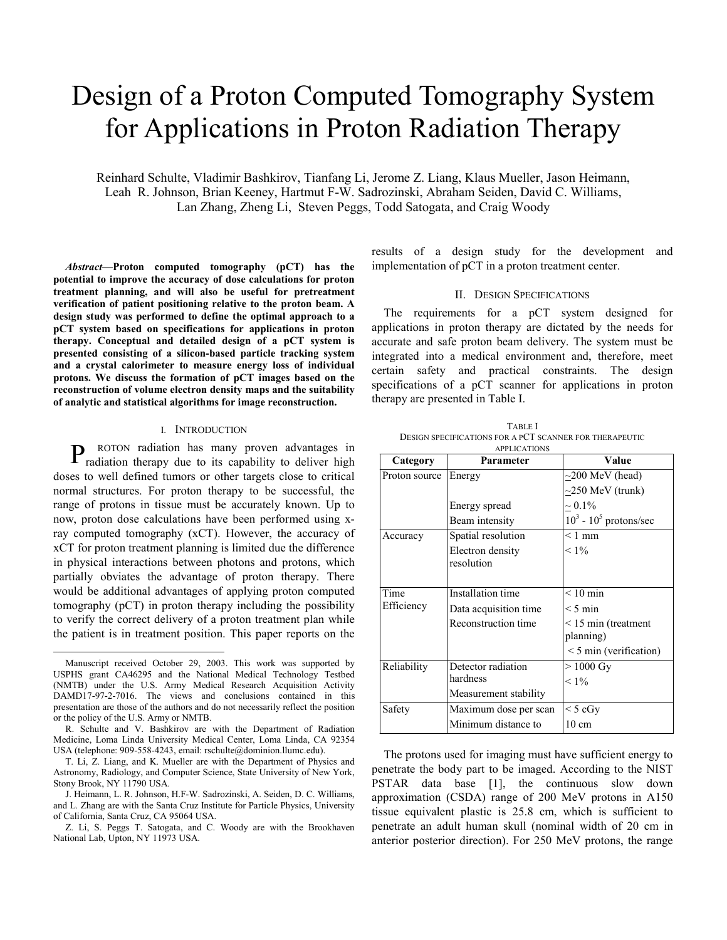# Design of a Proton Computed Tomography System for Applications in Proton Radiation Therapy

Reinhard Schulte, Vladimir Bashkirov, Tianfang Li, Jerome Z. Liang, Klaus Mueller, Jason Heimann, Leah R. Johnson, Brian Keeney, Hartmut F-W. Sadrozinski, Abraham Seiden, David C. Williams, Lan Zhang, Zheng Li, Steven Peggs, Todd Satogata, and Craig Woody

*Abstract***—Proton computed tomography (pCT) has the potential to improve the accuracy of dose calculations for proton treatment planning, and will also be useful for pretreatment verification of patient positioning relative to the proton beam. A design study was performed to define the optimal approach to a pCT system based on specifications for applications in proton therapy. Conceptual and detailed design of a pCT system is presented consisting of a silicon-based particle tracking system and a crystal calorimeter to measure energy loss of individual protons. We discuss the formation of pCT images based on the reconstruction of volume electron density maps and the suitability of analytic and statistical algorithms for image reconstruction.** 

#### I. INTRODUCTION

ROTON radiation has many proven advantages in P ROTON radiation has many proven advantages in radiation therapy due to its capability to deliver high doses to well defined tumors or other targets close to critical normal structures. For proton therapy to be successful, the range of protons in tissue must be accurately known. Up to now, proton dose calculations have been performed using xray computed tomography (xCT). However, the accuracy of xCT for proton treatment planning is limited due the difference in physical interactions between photons and protons, which partially obviates the advantage of proton therapy. There would be additional advantages of applying proton computed tomography (pCT) in proton therapy including the possibility to verify the correct delivery of a proton treatment plan while the patient is in treatment position. This paper reports on the

results of a design study for the development and implementation of pCT in a proton treatment center.

# II. DESIGN SPECIFICATIONS

The requirements for a pCT system designed for applications in proton therapy are dictated by the needs for accurate and safe proton beam delivery. The system must be integrated into a medical environment and, therefore, meet certain safety and practical constraints. The design specifications of a pCT scanner for applications in proton therapy are presented in Table I.

| <b>TABLE</b> I                                          |
|---------------------------------------------------------|
| DESIGN SPECIFICATIONS FOR A PCT SCANNER FOR THERAPEUTIC |
| <b>APPLICATIONS</b>                                     |

| Category           | Parameter                | Value                       |  |
|--------------------|--------------------------|-----------------------------|--|
| Proton source      | Energy                   | $\sim$ 200 MeV (head)       |  |
|                    |                          | $\sim$ 250 MeV (trunk)      |  |
|                    | Energy spread            | $\sim 0.1\%$                |  |
|                    | Beam intensity           | $10^3$ - $10^5$ protons/sec |  |
| Accuracy           | Spatial resolution       | $<$ 1 mm                    |  |
|                    | Electron density         | $< 1\%$                     |  |
|                    | resolution               |                             |  |
|                    |                          |                             |  |
| Time<br>Efficiency | <b>Installation time</b> | $< 10$ min                  |  |
|                    | Data acquisition time    | $< 5 \text{ min}$           |  |
|                    | Reconstruction time      | $\leq$ 15 min (treatment    |  |
|                    |                          | planning)                   |  |
|                    |                          | $\leq$ 5 min (verification) |  |
| Reliability        | Detector radiation       | $>1000$ Gy                  |  |
|                    | hardness                 | $< 1\%$                     |  |
|                    | Measurement stability    |                             |  |
| Safety             | Maximum dose per scan    | $\leq$ 5 cGy                |  |
|                    | Minimum distance to      | $10 \text{ cm}$             |  |

The protons used for imaging must have sufficient energy to penetrate the body part to be imaged. According to the NIST PSTAR data base [1], the continuous slow down approximation (CSDA) range of 200 MeV protons in A150 tissue equivalent plastic is 25.8 cm, which is sufficient to penetrate an adult human skull (nominal width of 20 cm in anterior posterior direction). For 250 MeV protons, the range

Manuscript received October 29, 2003. This work was supported by USPHS grant CA46295 and the National Medical Technology Testbed (NMTB) under the U.S. Army Medical Research Acquisition Activity DAMD17-97-2-7016. The views and conclusions contained in this presentation are those of the authors and do not necessarily reflect the position or the policy of the U.S. Army or NMTB.

R. Schulte and V. Bashkirov are with the Department of Radiation Medicine, Loma Linda University Medical Center, Loma Linda, CA 92354 USA (telephone: 909-558-4243, email: rschulte@dominion.llumc.edu).

T. Li, Z. Liang, and K. Mueller are with the Department of Physics and Astronomy, Radiology, and Computer Science, State University of New York, Stony Brook, NY 11790 USA.

J. Heimann, L. R. Johnson, H.F-W. Sadrozinski, A. Seiden, D. C. Williams, and L. Zhang are with the Santa Cruz Institute for Particle Physics, University of California, Santa Cruz, CA 95064 USA.

Z. Li, S. Peggs T. Satogata, and C. Woody are with the Brookhaven National Lab, Upton, NY 11973 USA.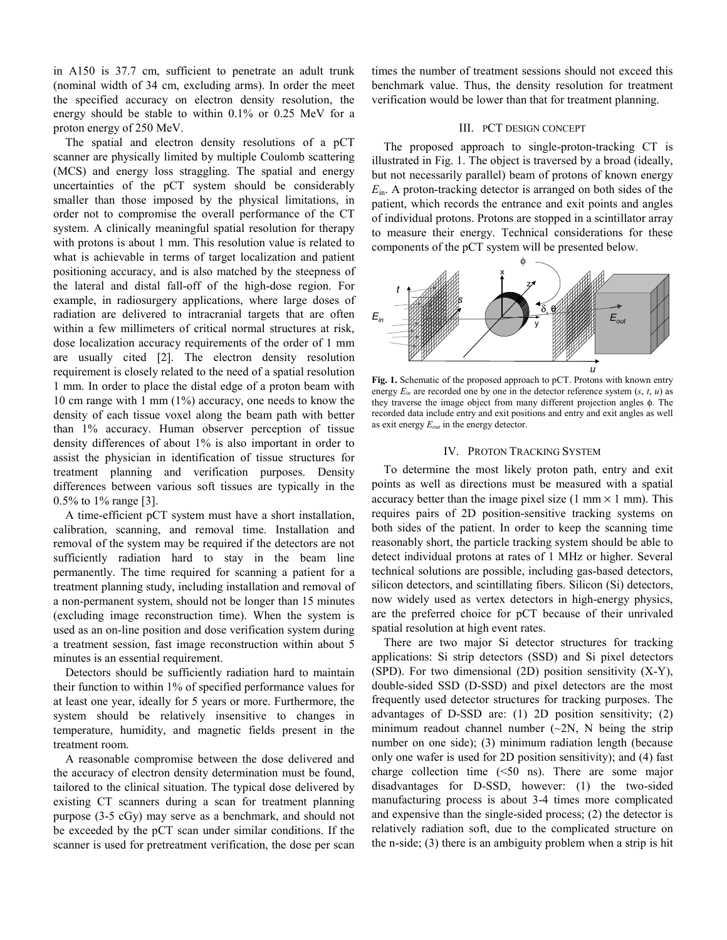in A150 is 37.7 cm, sufficient to penetrate an adult trunk (nominal width of 34 cm, excluding arms). In order the meet the specified accuracy on electron density resolution, the energy should be stable to within 0.1% or 0.25 MeV for a proton energy of 250 MeV.

The spatial and electron density resolutions of a pCT scanner are physically limited by multiple Coulomb scattering (MCS) and energy loss straggling. The spatial and energy uncertainties of the pCT system should be considerably smaller than those imposed by the physical limitations, in order not to compromise the overall performance of the CT system. A clinically meaningful spatial resolution for therapy with protons is about 1 mm. This resolution value is related to what is achievable in terms of target localization and patient positioning accuracy, and is also matched by the steepness of the lateral and distal fall-off of the high-dose region. For example, in radiosurgery applications, where large doses of radiation are delivered to intracranial targets that are often within a few millimeters of critical normal structures at risk, dose localization accuracy requirements of the order of 1 mm are usually cited [2]. The electron density resolution requirement is closely related to the need of a spatial resolution 1 mm. In order to place the distal edge of a proton beam with 10 cm range with 1 mm (1%) accuracy, one needs to know the density of each tissue voxel along the beam path with better than 1% accuracy. Human observer perception of tissue density differences of about 1% is also important in order to assist the physician in identification of tissue structures for treatment planning and verification purposes. Density differences between various soft tissues are typically in the 0.5% to 1% range [3].

A time-efficient pCT system must have a short installation, calibration, scanning, and removal time. Installation and removal of the system may be required if the detectors are not sufficiently radiation hard to stay in the beam line permanently. The time required for scanning a patient for a treatment planning study, including installation and removal of a non-permanent system, should not be longer than 15 minutes (excluding image reconstruction time). When the system is used as an on-line position and dose verification system during a treatment session, fast image reconstruction within about 5 minutes is an essential requirement.

Detectors should be sufficiently radiation hard to maintain their function to within 1% of specified performance values for at least one year, ideally for 5 years or more. Furthermore, the system should be relatively insensitive to changes in temperature, humidity, and magnetic fields present in the treatment room.

A reasonable compromise between the dose delivered and the accuracy of electron density determination must be found, tailored to the clinical situation. The typical dose delivered by existing CT scanners during a scan for treatment planning purpose (3-5 cGy) may serve as a benchmark, and should not be exceeded by the pCT scan under similar conditions. If the scanner is used for pretreatment verification, the dose per scan

times the number of treatment sessions should not exceed this benchmark value. Thus, the density resolution for treatment verification would be lower than that for treatment planning.

## III. PCT DESIGN CONCEPT

The proposed approach to single-proton-tracking CT is illustrated in Fig. 1. The object is traversed by a broad (ideally, but not necessarily parallel) beam of protons of known energy *E*in. A proton-tracking detector is arranged on both sides of the patient, which records the entrance and exit points and angles of individual protons. Protons are stopped in a scintillator array to measure their energy. Technical considerations for these components of the pCT system will be presented below.



**Fig. 1.** Schematic of the proposed approach to pCT. Protons with known entry energy  $E_{in}$  are recorded one by one in the detector reference system  $(s, t, u)$  as they traverse the image object from many different projection angles φ. The recorded data include entry and exit positions and entry and exit angles as well as exit energy *Eout* in the energy detector.

# IV. PROTON TRACKING SYSTEM

To determine the most likely proton path, entry and exit points as well as directions must be measured with a spatial accuracy better than the image pixel size (1 mm  $\times$  1 mm). This requires pairs of 2D position-sensitive tracking systems on both sides of the patient. In order to keep the scanning time reasonably short, the particle tracking system should be able to detect individual protons at rates of 1 MHz or higher. Several technical solutions are possible, including gas-based detectors, silicon detectors, and scintillating fibers. Silicon (Si) detectors, now widely used as vertex detectors in high-energy physics, are the preferred choice for pCT because of their unrivaled spatial resolution at high event rates.

There are two major Si detector structures for tracking applications: Si strip detectors (SSD) and Si pixel detectors (SPD). For two dimensional (2D) position sensitivity (X-Y), double-sided SSD (D-SSD) and pixel detectors are the most frequently used detector structures for tracking purposes. The advantages of D-SSD are: (1) 2D position sensitivity; (2) minimum readout channel number  $(\sim 2N, N)$  being the strip number on one side); (3) minimum radiation length (because only one wafer is used for 2D position sensitivity); and (4) fast charge collection time (<50 ns). There are some major disadvantages for D-SSD, however: (1) the two-sided manufacturing process is about 3-4 times more complicated and expensive than the single-sided process; (2) the detector is relatively radiation soft, due to the complicated structure on the n-side; (3) there is an ambiguity problem when a strip is hit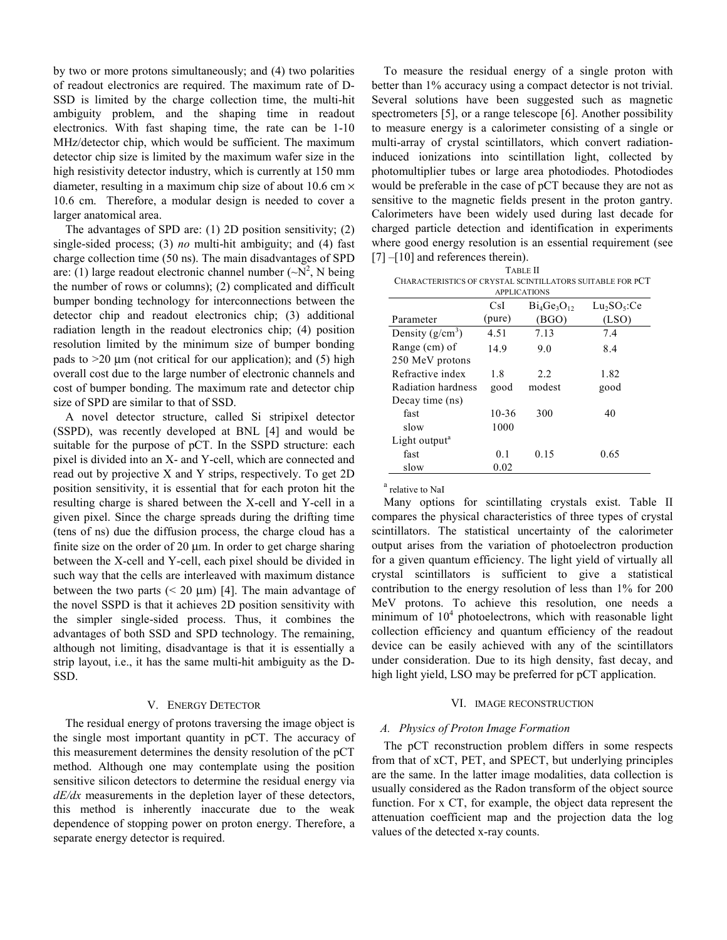by two or more protons simultaneously; and (4) two polarities of readout electronics are required. The maximum rate of D-SSD is limited by the charge collection time, the multi-hit ambiguity problem, and the shaping time in readout electronics. With fast shaping time, the rate can be 1-10 MHz/detector chip, which would be sufficient. The maximum detector chip size is limited by the maximum wafer size in the high resistivity detector industry, which is currently at 150 mm diameter, resulting in a maximum chip size of about 10.6 cm  $\times$ 10.6 cm. Therefore, a modular design is needed to cover a larger anatomical area.

The advantages of SPD are: (1) 2D position sensitivity; (2) single-sided process; (3) *no* multi-hit ambiguity; and (4) fast charge collection time (50 ns). The main disadvantages of SPD are: (1) large readout electronic channel number  $({\sim}N^2$ , N being the number of rows or columns); (2) complicated and difficult bumper bonding technology for interconnections between the detector chip and readout electronics chip; (3) additional radiation length in the readout electronics chip; (4) position resolution limited by the minimum size of bumper bonding pads to  $>20 \mu$ m (not critical for our application); and (5) high overall cost due to the large number of electronic channels and cost of bumper bonding. The maximum rate and detector chip size of SPD are similar to that of SSD.

A novel detector structure, called Si stripixel detector (SSPD), was recently developed at BNL [4] and would be suitable for the purpose of pCT. In the SSPD structure: each pixel is divided into an X- and Y-cell, which are connected and read out by projective X and Y strips, respectively. To get 2D position sensitivity, it is essential that for each proton hit the resulting charge is shared between the X-cell and Y-cell in a given pixel. Since the charge spreads during the drifting time (tens of ns) due the diffusion process, the charge cloud has a finite size on the order of 20 µm. In order to get charge sharing between the X-cell and Y-cell, each pixel should be divided in such way that the cells are interleaved with maximum distance between the two parts  $(< 20 \mu m)$  [4]. The main advantage of the novel SSPD is that it achieves 2D position sensitivity with the simpler single-sided process. Thus, it combines the advantages of both SSD and SPD technology. The remaining, although not limiting, disadvantage is that it is essentially a strip layout, i.e., it has the same multi-hit ambiguity as the D-SSD.

# V. ENERGY DETECTOR

The residual energy of protons traversing the image object is the single most important quantity in pCT. The accuracy of this measurement determines the density resolution of the pCT method. Although one may contemplate using the position sensitive silicon detectors to determine the residual energy via *dE/dx* measurements in the depletion layer of these detectors, this method is inherently inaccurate due to the weak dependence of stopping power on proton energy. Therefore, a separate energy detector is required.

To measure the residual energy of a single proton with better than 1% accuracy using a compact detector is not trivial. Several solutions have been suggested such as magnetic spectrometers [5], or a range telescope [6]. Another possibility to measure energy is a calorimeter consisting of a single or multi-array of crystal scintillators, which convert radiationinduced ionizations into scintillation light, collected by photomultiplier tubes or large area photodiodes. Photodiodes would be preferable in the case of pCT because they are not as sensitive to the magnetic fields present in the proton gantry. Calorimeters have been widely used during last decade for charged particle detection and identification in experiments where good energy resolution is an essential requirement (see [7] –[10] and references therein).

| <b>TABLE II</b> |
|-----------------|

| CHARACTERISTICS OF CRYSTAL SCINTILLATORS SUITABLE FOR PCT |
|-----------------------------------------------------------|
| <b>APPLICATIONS</b>                                       |

|                           | CsI       | $Bi_4Ge_3O_1$ | Lu <sub>2</sub> SO <sub>5</sub> :Ce |
|---------------------------|-----------|---------------|-------------------------------------|
| Parameter                 | (pure)    | (BGO)         | (LSO)                               |
| Density $(g/cm^3)$        | 4.51      | 7.13          | 7.4                                 |
| Range (cm) of             | 14.9      | 9.0           | 8.4                                 |
| 250 MeV protons           |           |               |                                     |
| Refractive index          | 1.8       | 2.2           | 1.82                                |
| Radiation hardness        | good      | modest        | good                                |
| Decay time (ns)           |           |               |                                     |
| fast                      | $10 - 36$ | 300           | 40                                  |
| slow                      | 1000      |               |                                     |
| Light output <sup>a</sup> |           |               |                                     |
| fast                      | 0.1       | 0.15          | 0.65                                |
| slow                      | 0.02      |               |                                     |

<sup>a</sup> relative to NaI

Many options for scintillating crystals exist. Table II compares the physical characteristics of three types of crystal scintillators. The statistical uncertainty of the calorimeter output arises from the variation of photoelectron production for a given quantum efficiency. The light yield of virtually all crystal scintillators is sufficient to give a statistical contribution to the energy resolution of less than 1% for 200 MeV protons. To achieve this resolution, one needs a minimum of  $10<sup>4</sup>$  photoelectrons, which with reasonable light collection efficiency and quantum efficiency of the readout device can be easily achieved with any of the scintillators under consideration. Due to its high density, fast decay, and high light yield, LSO may be preferred for pCT application.

# VI. IMAGE RECONSTRUCTION

#### *A. Physics of Proton Image Formation*

The pCT reconstruction problem differs in some respects from that of xCT, PET, and SPECT, but underlying principles are the same. In the latter image modalities, data collection is usually considered as the Radon transform of the object source function. For x CT, for example, the object data represent the attenuation coefficient map and the projection data the log values of the detected x-ray counts.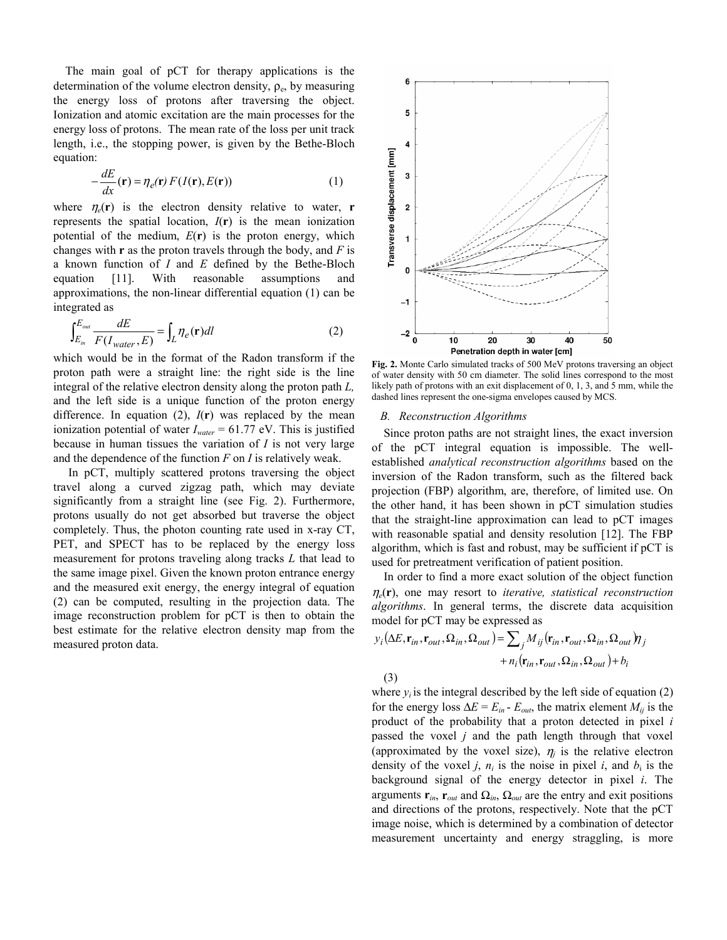The main goal of pCT for therapy applications is the determination of the volume electron density,  $\rho_e$ , by measuring the energy loss of protons after traversing the object. Ionization and atomic excitation are the main processes for the energy loss of protons. The mean rate of the loss per unit track length, i.e., the stopping power, is given by the Bethe-Bloch equation:

$$
-\frac{dE}{dx}(\mathbf{r}) = \eta_e(\mathbf{r}) F(I(\mathbf{r}), E(\mathbf{r}))
$$
\n(1)

where  $\eta_e(\mathbf{r})$  is the electron density relative to water, **r** represents the spatial location,  $I(r)$  is the mean ionization potential of the medium, *E*(**r**) is the proton energy, which changes with **r** as the proton travels through the body, and *F* is a known function of *I* and *E* defined by the Bethe-Bloch equation [11]. With reasonable assumptions and approximations, the non-linear differential equation (1) can be integrated as

$$
\int_{E_{in}}^{E_{out}} \frac{dE}{F(I_{water}, E)} = \int_{L} \eta_e(\mathbf{r}) dl
$$
\n(2)

which would be in the format of the Radon transform if the proton path were a straight line: the right side is the line integral of the relative electron density along the proton path *L,* and the left side is a unique function of the proton energy difference. In equation  $(2)$ ,  $I(\mathbf{r})$  was replaced by the mean ionization potential of water *Iwater* = 61.77 eV. This is justified because in human tissues the variation of *I* is not very large and the dependence of the function *F* on *I* is relatively weak.

 In pCT, multiply scattered protons traversing the object travel along a curved zigzag path, which may deviate significantly from a straight line (see Fig. 2). Furthermore, protons usually do not get absorbed but traverse the object completely. Thus, the photon counting rate used in x-ray CT, PET, and SPECT has to be replaced by the energy loss measurement for protons traveling along tracks *L* that lead to the same image pixel. Given the known proton entrance energy and the measured exit energy, the energy integral of equation (2) can be computed, resulting in the projection data. The image reconstruction problem for pCT is then to obtain the best estimate for the relative electron density map from the measured proton data.



**Fig. 2.** Monte Carlo simulated tracks of 500 MeV protons traversing an object of water density with 50 cm diameter. The solid lines correspond to the most likely path of protons with an exit displacement of 0, 1, 3, and 5 mm, while the dashed lines represent the one-sigma envelopes caused by MCS.

## *B. Reconstruction Algorithms*

Since proton paths are not straight lines, the exact inversion of the pCT integral equation is impossible. The wellestablished *analytical reconstruction algorithms* based on the inversion of the Radon transform, such as the filtered back projection (FBP) algorithm, are, therefore, of limited use. On the other hand, it has been shown in pCT simulation studies that the straight-line approximation can lead to pCT images with reasonable spatial and density resolution [12]. The FBP algorithm, which is fast and robust, may be sufficient if pCT is used for pretreatment verification of patient position.

In order to find a more exact solution of the object function <sup>η</sup>*e*(**r**), one may resort to *iterative, statistical reconstruction algorithms*. In general terms, the discrete data acquisition model for pCT may be expressed as

$$
y_i(\Delta E, \mathbf{r}_{in}, \mathbf{r}_{out}, \Omega_{in}, \Omega_{out}) = \sum_j M_{ij}(\mathbf{r}_{in}, \mathbf{r}_{out}, \Omega_{in}, \Omega_{out}) \eta_j
$$
  
+  $n_i(\mathbf{r}_{in}, \mathbf{r}_{out}, \Omega_{in}, \Omega_{out}) + b_i$   
(3)

where  $y_i$  is the integral described by the left side of equation (2) for the energy loss  $\Delta E = E_{in} - E_{out}$ , the matrix element  $M_{ij}$  is the product of the probability that a proton detected in pixel *i*  passed the voxel *j* and the path length through that voxel (approximated by the voxel size),  $\eta_i$  is the relative electron density of the voxel *j*,  $n_i$  is the noise in pixel *i*, and  $b_i$  is the background signal of the energy detector in pixel *i*. The arguments  $\mathbf{r}_{in}$ ,  $\mathbf{r}_{out}$  and  $\Omega_{in}$ ,  $\Omega_{out}$  are the entry and exit positions and directions of the protons, respectively. Note that the pCT image noise, which is determined by a combination of detector measurement uncertainty and energy straggling, is more